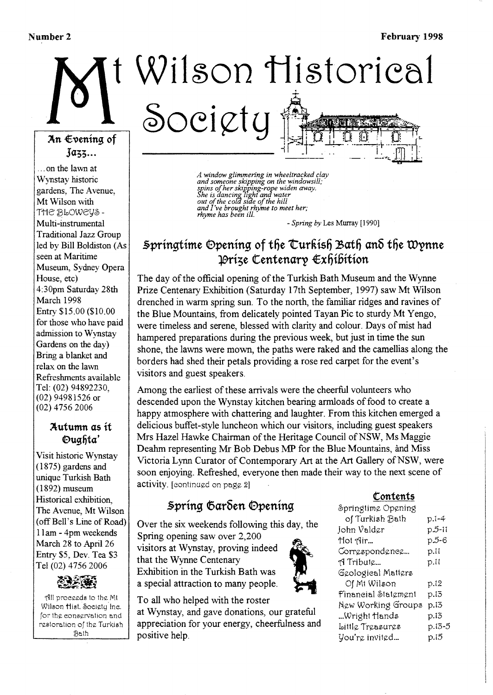#### Number 2

# Wilson Historical Society An €vening of

### $\text{J}$ azz...

...on the lawn at Wynstay historic gardens. The Avenue. Mt Wilson with THE BLOWEYS-Multi-instrumental **Traditional Jazz Group** led by Bill Boldiston (As seen at Maritime Museum, Sydney Opera House, etc) 4:30pm Saturday 28th March 1998 Entry \$15.00 (\$10.00 for those who have paid admission to Wynstav Gardens on the day) Bring a blanket and relax on the lawn Refreshments available Tel: (02) 94892230,  $(02)$  94981526 or  $(02)$  4756 2006

### Autumn as it Duahta'

Visit historic Wynstay  $(1875)$  gardens and unique Turkish Bath  $(1892)$  museum Historical exhibition, The Avenue, Mt Wilson (off Bell's Line of Road) 11am - 4pm weekends March 28 to April 26 Entry \$5, Dev. Tea \$3 Tel (02) 4756 2006



All proceeds to the Mt Wilson Hist. Society Inc. for the conservation and restoration of the Turkish Bath

A window glimmering in wheeltracked clay<br>and someone skipping on the windowsill;<br>spins of her skipping-rope widen away.<br>She is dancing light and water<br>out of the cold side of the hill and I've brought rhyme to meet her;<br>rhyme has been ill.

- Spring by Les Murray [1990]

## Springtime Opening of the Curkish Bath and the Wynne Príze Centenary Exhibition

The day of the official opening of the Turkish Bath Museum and the Wynne Prize Centenary Exhibition (Saturday 17th September, 1997) saw Mt Wilson drenched in warm spring sun. To the north, the familiar ridges and ravines of the Blue Mountains, from delicately pointed Tayan Pic to sturdy Mt Yengo, were timeless and serene, blessed with clarity and colour. Days of mist had hampered preparations during the previous week, but just in time the sun shone, the lawns were mown, the paths were raked and the camellias along the borders had shed their petals providing a rose red carpet for the event's visitors and guest speakers.

Among the earliest of these arrivals were the cheerful volunteers who descended upon the Wynstay kitchen bearing armloads of food to create a happy atmosphere with chattering and laughter. From this kitchen emerged a delicious buffet-style luncheon which our visitors, including guest speakers Mrs Hazel Hawke Chairman of the Heritage Council of NSW, Ms Maggie Deahm representing Mr Bob Debus MP for the Blue Mountains, and Miss Victoria Lynn Curator of Contemporary Art at the Art Gallery of NSW, were soon enjoying. Refreshed, everyone then made their way to the next scene of activity. Jeontinued on page 2]

## Spring Garden Opening

Over the six weekends following this day, the Spring opening saw over 2,200

visitors at Wynstay, proving indeed that the Wynne Centenary Exhibition in the Turkish Bath was a special attraction to many people.



at Wynstay, and gave donations, our grateful appreciation for your energy, cheerfulness and positive help.



#### Contents

| Springtime Opening  |        |
|---------------------|--------|
| of Turkish Bath     | p.1-4  |
| John Valder         | p.5-11 |
| Hot Air             | p.5-6  |
| Correspondence      | p.11   |
| A Tribute           | p.11   |
| Geological Matters  |        |
| Of Mt Wilson        | p.12   |
| Financial Statement | p.13   |
| New Working Groups  | p.13   |
| …Wright Hands       | p.13   |
| ittle Treasures#    | p.13-5 |
| You're invited…     | p.15   |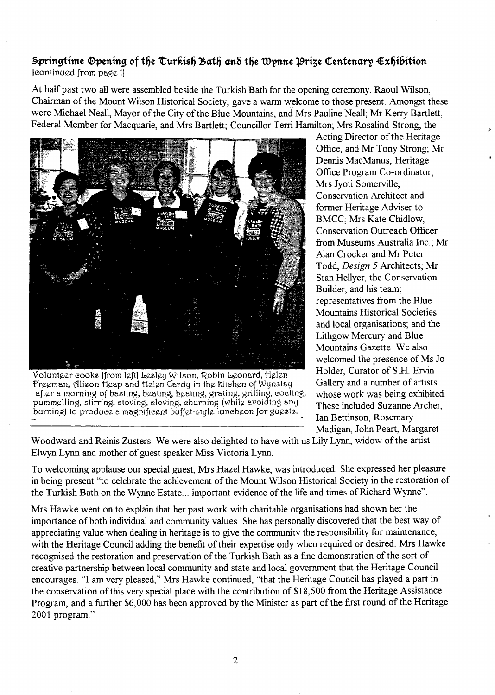### **5pringtime Opening of the Curkish Bath and the Wynne Orize Centenary**  $\epsilon$ **xhibition**  $[continued from page 1]$

At half past two all were assembled beside the Turkish Bath for the opening ceremony. Raoul Wilson, Chairman of the Mount Wilson Historical Society, gave a warm welcome to those present. Amongst these were Michael Neall, Mayor of the City of the Blue Mountains, and Mrs Pauline Neall; Mr Kerry Bartlett, Federal Member for Macquarie, and Mrs Bartlett; Councillor Terri Hamilton; Mrs Rosalind Strong, the



Volunteer eooks [from left] besley Wilson, Robin beonard, Helen Freeman, Alison tieap and tielen Cardy in the kitehen of Wynstay after a morning of basting, beating, heating, grating, grilling, eoating, pummelling, stirring, stoving, eloving, ehurning (while avoiding any burning) to produeg a magnifiegnt buffet-style luneheon for guests.

Acting Director of the Heritage Office, and Mr Tony Strong; Mr Dennis MacManus, Heritage Office Program Co-ordinator; Mrs Jyoti Somerville, Conservation Architect and former Heritage Adviser to BMCC; Mrs Kate Chidlow, Conservation Outreach Officer from Museums Australia Inc.; Mr Alan Crocker and Mr Peter T odd, *Design* 5 Architects; Mr Stan Hellyer, the Conservation Builder, and his team; representatives from the Blue Mountains Historical Societies and local organisations; and the Lithgow Mercury and Blue Mountains Gazette. We also welcomed the presence of Ms Jo Holder, Curator of S.H. Ervin Gallery and a number of artists whose work was being exhibited. These included Suzanne Archer, Ian Bettinson, Rosemary Madigan, John Peart, Margaret

Woodward and Reinis Zusters. We were also delighted to have with us Lily Lynn, widow of the artist Elwyn Lynn and mother of guest speaker Miss Victoria Lynn.

To welcoming applause our special guest, Mrs Hazel Hawke, was introduced. She expressed her pleasure in being present "to celebrate the achievement of the Mount Wilson Historical Society in the restoration of the Turkish Bath on the Wynne Estate... important evidence of the life and times of Richard Wynne".

Mrs Hawke went on to explain that her past work with charitable organisations had shown her the importance of both individual and community values. She has personally discovered that the best way of appreciating value when dealing in heritage is to give the community the responsibility for maintenance, with the Heritage Council adding the benefit of their expertise only when required or desired. Mrs Hawke recognised the restoration and preservation of the Turkish Bath as a fine demonstration of the sort of creative partnership between local community and state and local government that the Heritage Council encourages. "I am very pleased," Mrs Hawke continued, "that the Heritage Council has played a part in the conservation of this very special place with the contribution of \$18,500 from the Heritage Assistance Program, and a further \$6,000 has been approved by the Minister as part of the first round of the Heritage 2001 program."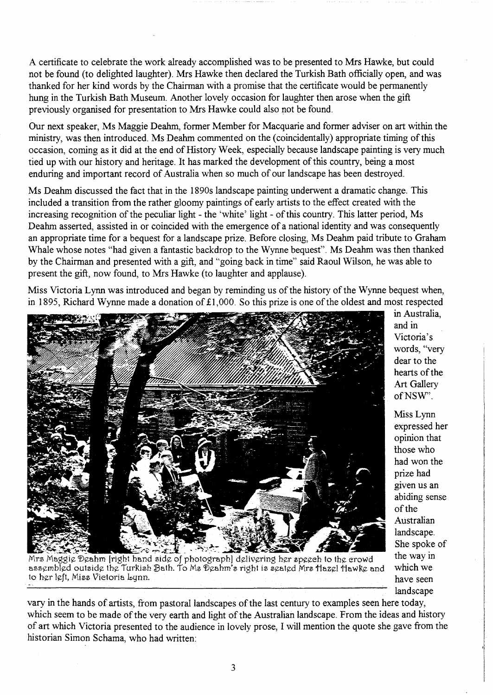A certificate to celebrate the work already accomplished was to be presented to Mrs Hawke, but could not be found (to delighted laughter). Mrs Hawke then declared the Turkish Bath officially open, and was thanked for her kind words by the Chairman with a promise that the certificate would be permanently hung in the Turkish Bath Museum. Another lovely occasion for laughter then arose when the gift previously organised for presentation to Mrs Hawke could also not be found.

Our next speaker, Ms Maggie Deahm, former Member for Macquarie and former adviser on art within the ministry, was then introduced. Ms Deahm commented on the (coincidentally) appropriate timing of this occasion, coming as it did at the end of History Week, especially because landscape painting is very much tied up with our history and heritage. It has marked the development of this country, being a most enduring and important record of Australia when so much of our landscape has been destroyed.

Ms Deahm discussed the fact that in the 1890s landscape painting underwent a dramatic change. This included a transition from the rather gloomy paintings of early artists to the effect created with the increasing recognition of the peculiar light - the 'white' light - of this country. This latter period, Ms Deahm asserted, assisted in or coincided with the emergence of a national identity and was consequently an appropriate time for a bequest for a landscape prize. Before closing, Ms Deahm paid tribute to Graham Whale whose notes "had given a fantastic backdrop to the Wynne bequest". Ms Deahm was then thanked by the Chairman and presented with a gift, and "going back in time" said Raoul Wilson, he was able to present the gift, now found, to Mrs Hawke (to laughter and applause).

Miss Victoria Lynn was introduced and began by reminding us of the history of the Wynne bequest when, in 1895, Richard Wynne made a donation of £1,000. So this prize is one of the oldest and most respected



in Australia, and in Victoria's words, "very dear to the hearts of the Art Gallery ofNSW".

Miss Lynn expressed her opinion that those who had won the prize had given us an abiding sense of the Australian landscape. . She spoke of the way in which we have seen landscape

Mrs Maggie Deahm [right hand side of photograph] delivering her speech to the crowd assembled outside the Turkish Bath. To Ms Deahm's right is seated Mrs flazel flawke and to hllr kft, Mi££ \lietoria bgnn. . -- .

vary in the hands of artists, from pastoral landscapes of the last century to examples seen here today, which seem to be made of the very earth and light of the Australian landscape. From the ideas and history of art which Victoria presented to the audience in lovely prose, I will mention the quote she gave from the historian Simon Schama, who had written: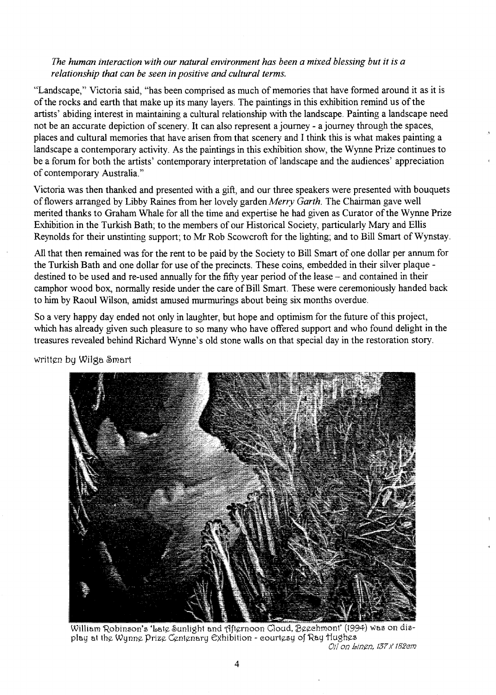#### *The human interaction with our natural environment has been a mixed blessing but it is a relationship that can be seen in positive and cultural terms.*

"Landscape," Victoria said, "has been comprised as much of memories that have formed around it as it is of the rocks and earth that make up its many layers. The paintings in this exhibition remind us of the artists' abiding interest in maintaining a cultural relationship with the landscape. Painting a landscape need not be an accurate depiction of scenery. It can also represent a journey - a journey through the spaces, places and cultural memories that have arisen from that scenery and I think this is what makes painting a landscape a contemporary activity. As the paintings in this exhibition show, the Wynne Prize continues to be a forum for both the artists' contemporary interpretation of landscape and the audiences' appreciation of contemporary Australia."

Victoria was then thanked and presented with a gift, and our three speakers were presented with bouquets of flowers arranged by Libby Raines from her lovely garden *Meny Garth.* The Chairman gave well merited thanks to Graham Whale for all the time and expertise he had given as Curator of the Wynne Prize Exhibition in the Turkish Bath; to the members of our Historical Society, particularly Mary and Ellis Reynolds for their unstinting support; to Mr Rob Scowcroft for the lighting; and to Bill Smart of Wynstay.

All that then remained was for the rent to be paid by the Society to Bill Smart of one dollar per annum for the Turkish Bath and one dollar for use of the precincts. These coins, embedded in their silver plaque destined to be used and re-used annually for the fifty year period of the lease – and contained in their camphor wood box., normally reside under the care of Bill Smart. These were ceremoniously handed back to him by Raoul Wilson, amidst amused murmurings about being six months overdue.

So a very happy day ended not only in laughter, but hope and optimism for the future of this project, which has already given such pleasure to so many who have offered support and who found delight in the treasures revealed behind Richard Wynne's old stone walls on that special day in the restoration story.

written by Wilga Smart



William Robinson's 'bate Sunlight and Afternoon Cloud, Beechmont' (1994) was on display at the Wynne Prize Centenary Exhibition - eourtesy of Ray Hughes

Oil on *bingn*, 137 x 182em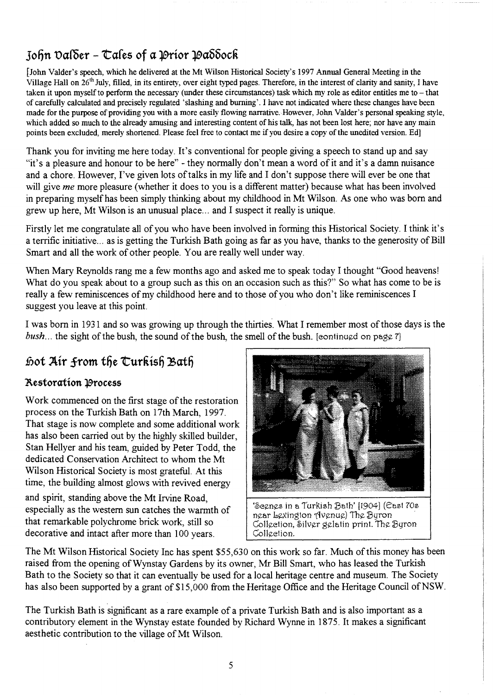# $J$ ohn  $\text{Da}$ ( $\text{Ber} - \text{Ca}$ les of a  $\text{10}$ rior  $\text{10}$  $\text{a}$  $\text{6}$  $\text{6}$  $\text{c}$  $\text{R}$

[John Valder's speech, which he delivered at the Mt Wilson Historical Society's 1997 Annual General Meeting in the Village Hall on 26<sup>th</sup> July, filled, in its entirety, over eight typed pages. Therefore, in the interest of clarity and sanity, I have taken it upon myself to perform the necessary (under these circumstances) task which my role as editor entitles me to - that of carefully calculated and precisely regulated 'slashing and burning'. I have not indicated where these changes have been made for the purpose of providing you with a more easily flowing narrative. However, John Valder's personal speaking style, which added so much to the already amusing and interesting content of his talk, has not been lost here; nor have any main points been excluded, merely shortened. Please feel free to contact me if you desire a copy of the unedited version. Ed]

Thank you for inviting me here today. It's conventional for people giving a speech to stand up and say "it's a pleasure and honour to be here" - they normally don't mean a word of it and it's a damn nuisance and a chore. However, I've given lots of talks in my life and I don't suppose there will ever be one that will give *me* more pleasure (whether it does to you is a different matter) because what has been involved in preparing myself has been simply thinking about my childhood in Mt Wilson. As one who was born and grew up here, Mt Wilson is an unusual place ... and I suspect it really is unique.

Firstly let me congratulate all of you who have been involved in forming this Historical Society. I think it's a terrific initiative... as is getting the Turkish Bath going as far as you have, thanks to the generosity of Bill Smart and all the work of other people. You are really well under way.

When Mary Reynolds rang me a few months ago and asked me to speak today I thought "Good heavens! What do you speak about to a group such as this on an occasion such as this?" So what has come to be is really a few reminiscences of my childhood here and to those of you who don't like reminiscences I suggest you leave at this point.

I was born in 1931 and so was growing up through the thirties. What I remember most of those days is the *bush...* the sight of the bush, the sound of the bush, the smell of the bush. [continued on page 7]

# *Joot Air from the Curkish Bath*

## **2\.e5toration :]9roce55**

Work commenced on the first stage of the restoration process on the Turkish Bath on 17th March, 1997. That stage is now complete and some additional work has also been carried out by the highly skilled builder, Stan Hellyer and his team, guided by Peter Todd, the dedicated Conservation Architect to whom the Mt Wilson Historical Society is most grateful. At this time, the building almost glows with revived energy

and spirit, standing above the Mt Irvine Road, especially as the western sun catches the warmth of that remarkable polychrome brick work, still so decorative and intact after more than 100 years.



'Seenes in a Turkish Bath' [1904] (Cast 70s near bexington (Ivenue) The Byron Gollgetion, Silver gelatin print. The Byron Gollgetion.

The Mt Wilson Historical Society Inc has spent \$55,630 on this work so far. Much of this money has been raised from the opening ofWynstay Gardens by its owner, Mr Bill Smart, who has leased the Turkish Bath to the Society so that it can eventually be used for a local heritage centre and museum. The Society has also been supported by a grant of \$15,000 from the Heritage Office and the Heritage Council of NSW.

The Turkish Bath is significant as a rare example of a private Turkish Bath and is also important as a contributory element in the Wynstay estate founded by Richard Wynne in 1875. It makes a significant aesthetic contribution to the village of Mt Wilson.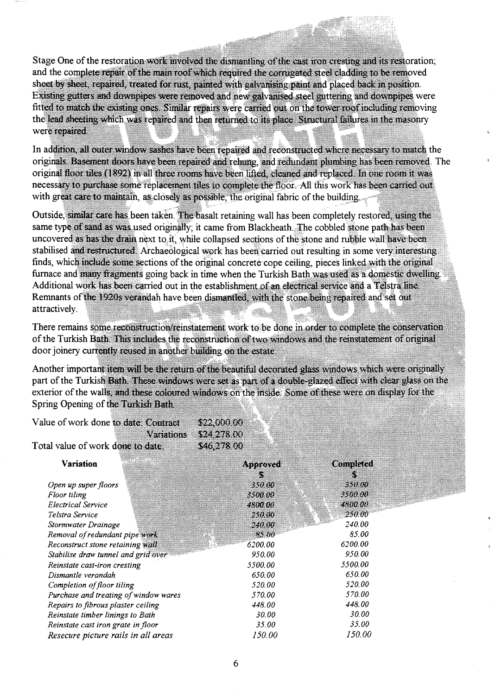Stage One of the restoration work involved the dismantling of the cast iron cresting and its restoration; and the complete repair of the main roof which required the corrugated steel cladding to be removed sheet by sheet, repaired, treated for rust, painted with galvanisme paint and placed back in position. Existing gutters and downpipes were removed and new galvanised steel guttering and downpipes were fitted to match the existing ones. Similar repairs were carried out on the tower roof including removing the lead sheeting which was repaired and then returned to its place. Structural failures in the masonry were repaired

In addition, all outer window sashes have been repaired and reconstructed where necessary to match the originals. Basement doors have been repaired and rehing, and redundant plumbing has been removed. The original floor tiles (1892) in all three rooms have been lifted, cleaned and replaced. In one room it was necessary to purchase some replacement tiles to complete the floor. All this work has been carried out with great care to maintain, as closely as possible, the original fabric of the building.

Outside, similar care has been taken. The basalt retaining wall has been completely restored, using the same type of sand as was used originally; it came from Blackheath. The cobbled stone path has been uncovered as has the drain next to it, while collapsed sections of the stone and rubble wall have been stabilised and restructured. Archaeological work has been carried out resulting in some very interesting. finds, which include some sections of the original concrete cope ceiling, pieces linked with the original furnace and many fragments going back in time when the Turkish Bath was used as a domestic dwelling. Additional work has been carried out in the establishment of an electrical service and a Telstra line Remnants of the 1920s verandah have been dismantled, with the stone heing repaired and set out attractively.

There remains some reconstruction/reinstatement work to be done in order to complete the conservation of the Turkish Bath. This includes the reconstruction of two windows and the reinstatement of original door joinery currently reused in another building on the estate.

Another important item will be the return of the beautiful decorated glass windows which were originally part of the Turkish Bath. These windows were set as part of a double-glazed effect with clear glass on the exterior of the walls, and these coloured windows on the inside. Some of these were on display for the Spring Opening of the Turkish Bath

| Value of work done to date. Contract |           | \$22,000.00   |                      |
|--------------------------------------|-----------|---------------|----------------------|
|                                      | Vertilian | \$24.278.00   |                      |
| Total value of work done to date.    |           | 846278.00     |                      |
| Variation                            |           | avozova:<br>W | Concolated<br>S      |
| Open up super floors                 |           | 350.00        | 350.00               |
| Floor tiling                         |           | 3500.00       | 3500.00              |
| <b>Electrical Service</b>            |           | 4800.00       | 4800.00              |
| Telstra Service                      |           | 290.00        | 250.00               |
| Stormwater Drainage                  |           | 240.00.       | <i><b>240.00</b></i> |

| Stormwater Drainage                   | 240.00  | 240.00  |
|---------------------------------------|---------|---------|
| Removal of redundant pipe work        | 85.00   | 85.00   |
| Reconstruct stone retaining wall      | 6200.00 | 6200.00 |
| Stabilise draw tunnel and grid over   | 950.00  | 950.00  |
| Reinstate cast-iron cresting          | 5500.00 | 5500.00 |
| Dismantle verandah                    | 650.00  | 650.00  |
| Completion of floor tiling            | 520.00  | 520.00  |
| Purchase and treating of window wares | 570.00  | 570.00  |
| Repairs to fibrous plaster ceiling    | 448.00  | 448.00  |
| Reinstate timber linings to Bath      | 30.00   | 30.00   |
| Reinstate cast iron grate in floor    | 35.00   | 35.00   |
| Resecure picture rails in all areas   | 150.00  | 150.00  |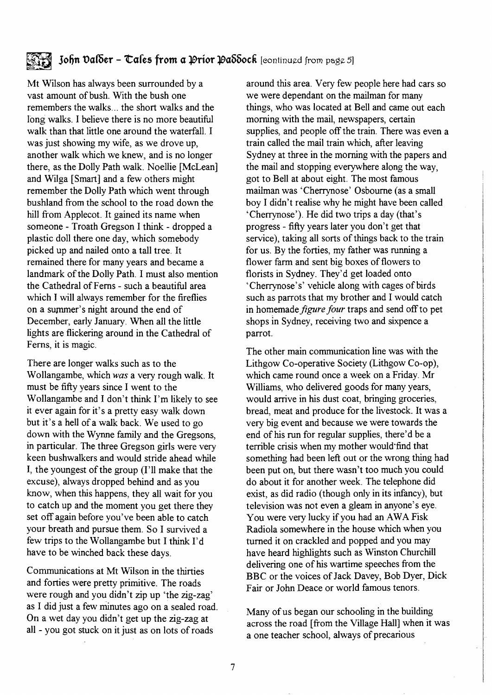## John Dalder - Tales from a Prior Paddock [continued from page 5]

Mt Wilson has always been surrounded by a vast amount of bush. With the bush one remembers the walks ... the short walks and the long walks. I believe there is no more beautiful walk than that little one around the waterfall. I was just showing my wife, as we drove up, another walk which we knew, and is no longer there, as the Dolly Path walk. Noellie [McLean] and Wilga [Smart] and a few others might remember the Dolly Path which went through bushland from the school to the road down the hill from Applecot. It gained its name when someone - Troath Gregson I think - dropped a plastic doll there one day, which somebody picked up and nailed onto a tall tree. It remained there for many years and became a landmark of the Dolly Path. I must also mention the Cathedral of Ferns - such a beautiful area which I will always remember for the fireflies on a summer's night around the end of December, early January. When all the little lights are flickering around in the Cathedral of Ferns, it is magic.

There are longer walks such as to the Wollangambe, which *was* a very rough walk. It must be fifty years since I went to the Wollangambe and I don't think I'm likely to see it ever again for it's a pretty easy walk down but it's a hell of a walk back. We used to go down with the Wynne family and the Gregsons, in particular. The three Gregson girls were very keen bushwalkers and would stride ahead while I, the youngest of the group (I'll make that the excuse), always dropped behind and as you know, when this happens, they all wait for you to catch up and the moment you get there they set off again before you've been able to catch your breath and pursue them. So I survived a few trips to the Wollangambe but I think I'd have to be winched back these days.

Communications at Mt Wilson in the thirties and forties were pretty primitive. The roads were rough and you didn't zip up 'the zig-zag' as I did just a few minutes ago on a sealed road. On a wet day you didn't get up the zig-zag at all - you got stuck on it just as on lots of roads

around this area. Very few people here had cars so we were dependant on the mailman for many things, who was located at Bell and came out each morning with the mail, newspapers, certain supplies, and people off the train. There was even a train called the mail train which, after leaving Sydney at three in the morning with the papers and the mail and stopping everywhere along the way, got to Bell at about eight. The most famous mailman was 'Cherrynose' Osbourne (as a small boy I didn't realise why he might have been called 'Cherrynose'). He did two trips a day (that's progress - fifty years later you don't get that service), taking all sorts of things back to the train for us. By the forties, my father was running a flower farm and sent big boxes of flowers to florists in Sydney. They'd get loaded onto 'Cherrynose's' vehicle along with cages of birds such as parrots that my brother and I would catch in homemade *figure four* traps and send off to pet shops in Sydney, receiving two and sixpence a parrot.

The other main communication line was with the Lithgow Co-operative Society (Lithgow Co-op), which came round once a week on a Friday. Mr Williams, who delivered goods for many years, would arrive in his dust coat, bringing groceries, bread, meat and produce for the livestock. It was a very big event and because we were towards the end of his run for regular supplies, there'd be a terrible crisis when my mother would'find that something had been left out or the wrong thing had been put on, but there wasn't too much you could do about it for another week. The telephone did exist, as did radio (though only in its infancy), but television was not even a gleam in anyone's eye. You were very lucky if you had an AWA Fisk Radiola somewhere in the house which when you turned it on crackled and popped and you may have heard highlights such as Winston Churchill delivering one of his wartime speeches from the BBC or the voices of Jack Davey, Bob Dyer, Dick Fair or John Deace or world famous tenors.

Many of us began our schooling in the building across the road [from the Village Hall] when it was a one teacher school, always of precarious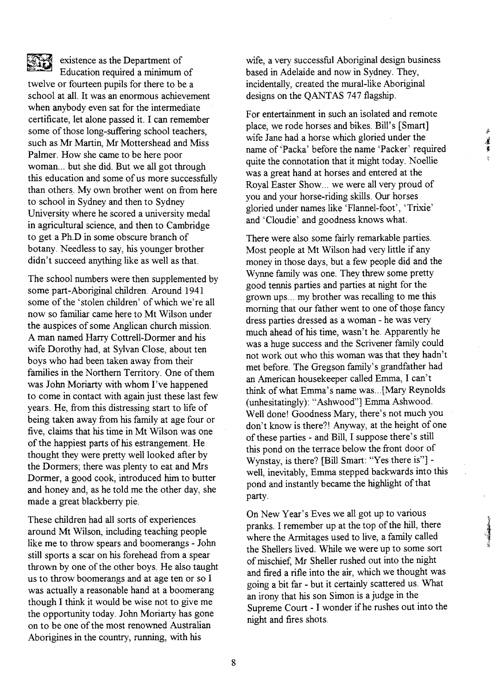existence as the Department of Education required a minimum of twelve or fourteen pupils for there to be a school at all. It was an enormous achievement when anybody even sat for the intermediate certificate, let alone passed it. I can remember some of those long-suffering school teachers, such as Mr Martin, Mr Mottershead and Miss Palmer. How she came to be here poor woman... but she did. But we all got through this education and some of us more successfully than others. My own brother went on from here to school in Sydney and then to Sydney University where he scored a university medal in agricultural science, and then to Cambridge to get a Ph.D in some obscure branch of botany. Needless to say, his younger brother didn't succeed anything like as well as that.

The school numbers were then supplemented by some part-Aboriginal children. Around 1941 some of the 'stolen children' of which we're all now so familiar came here to Mt Wilson under the auspices of some Anglican church mission. A man named Harry Cottrell-Dormer and his wife Dorothy had, at Sylvan Close, about ten boys who had been taken away from their families in the Northern Territory. One of them was John Moriarty with whom I've happened to come in contact with again just these last few years. He, from this distressing start to life of being taken away from his family at age four or five, claims that his time in Mt Wilson was one of the happiest parts of his estrangement. He thought they were pretty well looked after by the Dormers; there was plenty to eat and Mrs Dormer, a good cook, introduced him to butter and honey and, as he told me the other day, she made a great blackberry pie.

These children had all sorts of experiences around Mt Wilson, including teaching people like me to throw spears and boomerangs - John still sports a scar on his forehead from a spear thrown by one of the other boys. He also taught us to throw boomerangs and at age ten or so I was actually a reasonable hand at a boomerang though I think it would be wise not to give me the opportunity today. John Moriarty has gone on to be one of the most renowned Australian Aborigines in the country, running, with his

wife, a very successful Aboriginal design business based in Adelaide and now in Sydney. They, incidentally, created the mural-like Aboriginal designs on the QANTAS 747 flagship.

For entertainment in such an isolated and remote place, we rode horses and bikes. Bill's [Smart] wife Jane had a horse which gloried under the name of 'Packa' before the name 'Packer' required quite the connotation that it might today. Noellie was a great hand at horses and entered at the Royal Easter Show... we were all very proud of you and your horse-riding skills. Our horses gloried under names like 'Flannel-foot', 'Trixie' and 'Cloudie' and goodness knows what.

墓 覆

There were also some fairly remarkable parties. Most people at Mt Wilson had very little if any money in those days, but a few people did and the Wynne family was one. They threw some pretty good tennis parties and parties at night for the grown ups ... my brother was recalling to me this morning that our father went to one of those fancy dress parties dressed as a woman - he was very much ahead of his time, wasn't he. Apparently he was a huge success and the Scrivener family could not work out who this woman was that they hadn't met before. The Gregson family's grandfather had an American housekeeper called Emma, I can't think of what Emma's name was ... [Mary Reynolds (unhesitatingly): "Ashwood"] Emma Ashwood. Well done! Goodness Mary, there's not much you don't know is there?! Anyway, at the height of one of these parties - and Bill, I suppose there's still this pond on the terrace below the front door of Wynstay, is there? [Bill Smart: "Yes there is"] well, inevitably, Emma stepped backwards into this pond and instantly became the highlight of that party.

On New Year's Eves we all got up to various pranks. I remember up at the top of the hill, there where the Armitages used to live, a family called the Shellers lived. While we were up to some sort of mischief, Mr Sheller rushed out into the night and fired a rifle into the air, which we thought was going a bit far - but it certainly scattered us. What an irony that his son Simon is a judge in the Supreme Court - I wonder if he rushes out into the night and fires shots.

8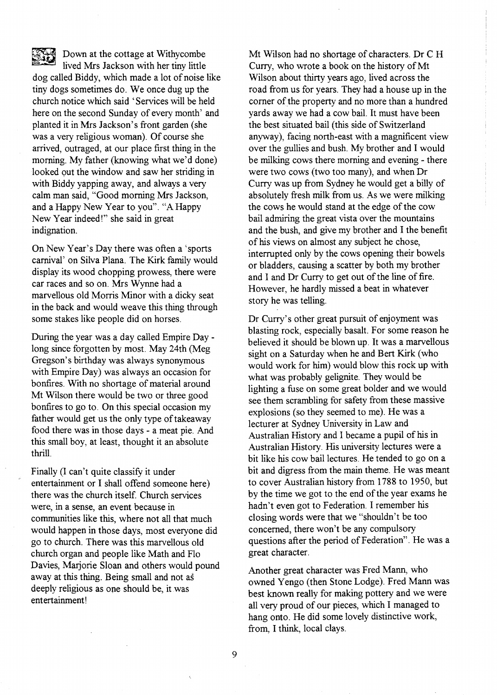Down at the cottage at Withycombe lived Mrs Jackson with her tiny little dog called Biddy, which made a lot of noise like tiny dogs sometimes do. We once dug up the church notice which said 'Services will be held here on the second Sunday of every month' and planted it in Mrs Jackson's front garden (she was a very religious woman). Of course she arrived, outraged, at our place first thing in the morning. My father (knowing what we'd done) looked out the window and saw her striding in with Biddy yapping away, and always a very calm man said, "Good morning Mrs Jackson, and a Happy New Year to you". "A Happy New Year indeed!" she said in great indignation.

On New Year's Day there was often a 'sports carnival' on Silva Plana. The Kirk family would display its wood chopping prowess, there were car races and so on. Mrs Wynne had a marvellous old Morris Minor with a dicky seat in the back and would weave this thing through some stakes like people did on horses.

During the year was a day called Empire Day long since forgotten by most. May 24th (Meg Gregson's birthday was always synonymous with Empire Day) was always an occasion for bonfires. With no shortage of material around Mt Wilson there would be two or three good bonfires to go to. On this special occasion my father would get us the only type of takeaway food there was in those days - a meat pie. And this small boy, at least, thought it an absolute thrill.

Finally (I can't quite classify it under entertainment or I shall offend someone here) there was the church itself. Church services were, in a sense, an event because in communities like this, where not all that much would happen in those days, most everyone did go to church. There was this marvellous old church organ and people like Math and Flo Davies, Marjorie Sloan and others would pound away at this thing. Being small and not as deeply religious as one should be, it was entertainment!

Mt Wilson had no shortage of characters. Dr C H Curry, who wrote a book on the history of Mt Wilson about thirty years ago, lived across the road from us for years. They had a house up in the corner of the property and no more than a hundred yards away we had a cow bail. It must have been the best situated bail (this side of Switzerland anyway), facing north-east with a magnificent view over the gullies and bush: My brother and 1 would be milking cows there morning and evening - there were two cows (two too many), and when Dr Curry was up from Sydney he would get a billy of absolutely fresh milk from us. As we were milking the cows he would stand at the edge of the cow bail admiring the great vista over the mountains and the bush, and give my brother and 1 the benefit of his views on almost any subject he chose, interrupted only by the cows opening their bowels or bladders, causing a scatter by both my brother and 1 and Dr Curry to get out of the line of fire. However, he hardly missed a beat in whatever story he was telling.

Dr Curry's other great pursuit of enjoyment was blasting rock, especially basalt. For some reason he believed it should be blown up. It was a marvellous sight on a Saturday when he and Bert Kirk (who would work for him) would blow this rock up with what was probably gelignite. They would be lighting a fuse on some great bolder and we would see them scrambling for safety from these massive explosions (so they seemed to me). He was a lecturer at Sydney University in Law and Australian History and 1 became a pupil of his in Australian History. His university lectures were a bit like his cow bail lectures. He tended to go on a bit and digress from the main theme. He was meant to cover Australian history from 1788 to 1950, but by the time we got to the end of the year exams he hadn't even got to Federation. 1 remember his closing words were that we "shouldn't be too concerned, there won't be any compulsory questions after the period of Federation". He was a great character.

Another great character was Fred Mann, who owned Yengo (then Stone Lodge). Fred Mann was best known really for making pottery and we were all very proud of our pieces, which 1 managed to hang onto. He did some lovely distinctive work, from, 1 think, local clays.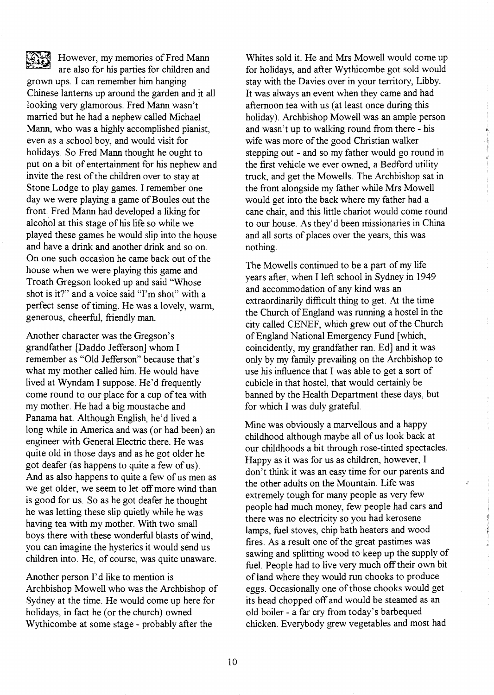However, my memories of Fred Mann are also for his parties for children and grown ups. I can remember him hanging Chinese lanterns up around the garden and it all looking very glamorous. Fred Mann wasn't married but he had a nephew called Michael Mann, who was a highly accomplished pianist, even as a school boy, and would visit for holidays. So Fred Mann thought he ought to put on a bit of entertainment for his nephew and invite the rest of the children over to stay at Stone Lodge to play games. I remember one day we were playing a game of Boules out the front. Fred Mann had developed a liking for alcohol at this stage of his life so while we played these games he would slip into the house and have a drink and another drink and so on. On one such occasion he came back out of the house when we were playing this game and Troath Gregson looked up and said "Whose shot is it?" and a voice said "I'm shot" with a perfect sense of timing. He was a lovely, warm, generous, cheerful, friendly man.

Another character was the Gregson's grandfather [Daddo Jefferson] whom I remember as "Old Jefferson" because that's what my mother called him. He would have lived at Wyndam I suppose. He'd frequently come round to our place for a cup of tea with my mother. He had a big moustache and Panama hat. Although English, he'd lived a long while in America and was (or had been) an engineer with General Electric there. He was quite old in those days and as he got older he got deafer (as happens to quite a few of us). And as also happens to quite a few of us men as we get older, we seem to let off more wind than is good for us. So as he got deafer he thought he was letting these slip quietly while he was having tea with my mother. With two small boys there with these wonderful blasts of wind, you can imagine the hysterics it would send us children into. He, of course, was quite unaware.

Another person I'd like to mention is Archbishop Mowell who was the Archbishop of Sydney at the time. He would come up here for holidays, in fact he (or the church) owned Wythicombe at some stage - probably after the

Whites sold it. He and Mrs Mowell would come up for holidays, and after Wythicombe got sold would stay with the Davies over in your territory, Libby. It was always an event when they came and had afternoon tea with us (at least once during this holiday). Archbishop Mowell was an ample person and wasn't up to walking round from there - his wife was more of the good Christian walker stepping out - and so my father would go round in the first vehicle we ever owned, a Bedford utility truck, and get the Mowells. The Archbishop sat in the front alongside my father while Mrs Mowell would get into the back where my father had a cane chair, and this little chariot would come round to our house. As they'd been missionaries in China and all sorts of places over the years, this was nothing.

 $\begin{array}{c}\n\downarrow \\
\downarrow \\
\downarrow \\
\downarrow \\
\downarrow\n\end{array}$ t  $\frac{1}{2}$ I

{' I' J t

ŵ.

The Mowells continued to be a part of my life years after, when I left school in Sydney in 1949 and accommodation of any kind was an extraordinarily difficult thing to get. At the time the Church of England was running a hostel in the city called CENEF, which grew out of the Church of England National Emergency Fund [which, coincidently, my grandfather ran. Ed] and it was only by my family prevailing on the Archbishop to use his influence that I was able to get a sort of cubicle in that hostel, that would certainly be banned by the Health Department these days, but for which I was duly grateful.

Mine was obviously a marvellous and a happy childhood although maybe all of us look back at our childhoods a bit through rose-tinted spectacles. Happy as it was for us as children, however, I don't think it was an easy time for our parents and the other adults on the Mountain. Life was extremely tough for many people as very few people had much money, few people had cars and there was no electricity so you had kerosene lamps, fuel stoves, chip bath heaters and wood fires. As a result one of the great pastimes was sawing and splitting wood to keep up the supply of fuel. People had to live very much off their own bit of land where they would run chooks to produce eggs. Occasionally one of those chooks would get its head chopped off and would be steamed as an old boiler - a far cry from today's barbequed chicken. Everybody grew vegetables and most had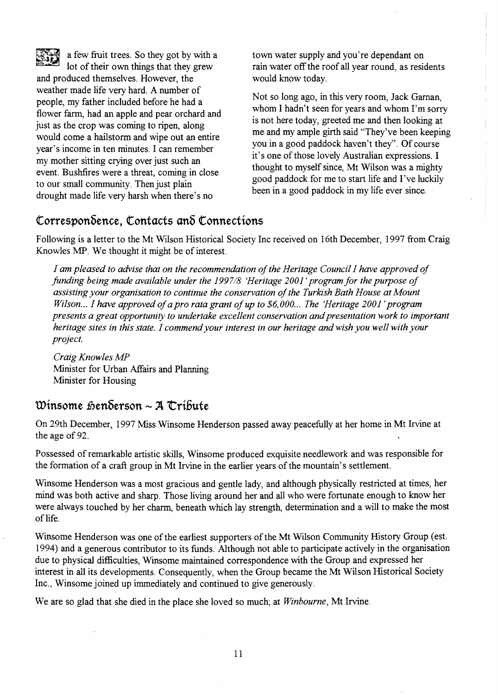

a few fruit trees. So they got by with a lot of their own things that they grew and produced themselves. However, the weather made life very hard. A number of people, my father included before he had a flower farm, had an apple and pear orchard and just as the crop was coming to ripen, along would come a hailstorm and wipe out an entire year's income in ten minutes. I can remember my mother sitting crying over just such an event. Bushfires were a threat, coming in close to our small community. Then just plain drought made life very harsh when there's no

town water supply and you're dependant on rain water off the roof all year round, as residents would know today.

Not so long ago, in this very room, Jack Garnan, whom I hadn't seen for years and whom I'm sorry is not here today, greeted me and then looking at me and my ample girth said "They've been keeping you in a good paddock haven't they". Of course it's one of those lovely Australian expressions. I thought to myself since, Mt Wilson was a mighty good paddock for me to start life and I've luckily been in a good paddock in my life ever since.

## **torresponbence, tontacts anb tonnections**

Following is a letter to the Mt Wilson Historical Society Inc received on 16th December, 1997 from Craig Knowles MP. We thought it might be of interest.

*] am pleased to advise that on the recommendation of the Heritage Council] have approved of funding being made available under the 199718 'Heritage 2001' program for the purpose of assisting your organisation to continue the conservation of the Turkish Bath House at Mount Wilson... I have approved of a pro rata grant of up to \$6,000... The 'Heritage 2001' program presents a great opportunity to undertake excellent conservation and presentation work to important heritage sites in this state.* ] *commend your interest in our heritage and wish you well with your project.* 

*Craig Knowles MP*  Minister for Urban Affairs and Planning Minister for Housing

## **Winsome 1Denberson - Jl 'tri6ute**

On 29th December, 1997 Miss Winsome Henderson passed away peacefully at her home in Mt Irvine at the age of 92.

Possessed of remarkable artistic skills, Winsome produced exquisite needlework and was responsible for the formation of a craft group in Mt Irvine in the earlier years of the mountain's settlement.

Winsome Henderson was a most gracious and gentle lady, and although physically restricted at times, her mind was both active and sharp. Those living around her and all who were fortunate enough to know her were always touched by her charm, beneath which lay strength, determination and a will to make the most of life.

Winsome Henderson was one of the earliest supporters of the Mt Wilson Community History Group (est. 1994) and a generous contributor to its funds. Although not able to participate actively in the organisation due to physical difficulties, Winsome maintained correspondence with the Group and expressed her interest in all its developments. Consequently, when the Group became the Mt Wilson Historical Society Inc., Winsome joined up immediately and continued to give generously.

We are so glad that she died in the place she loved so much; at *Winbourne,* Mt Irvine.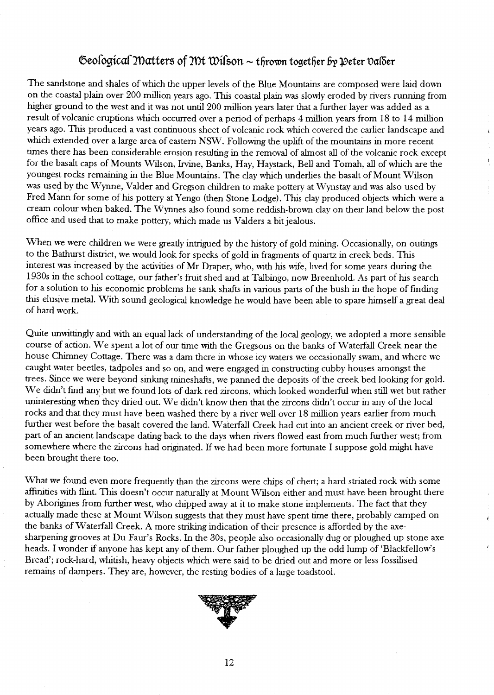## $\Phi$ eological Matters of Mt Wilson  $\sim$  thrown together by Deter Dal $\delta$ er

The sandstone and shales of which the upper levels of the Blue Mountains are composed were laid down on the coastal plain over 200 million years ago. This coastal plain was slowly eroded by rivers running from higher ground to the west and it was not until 200 million years later that a further layer was added as a result of volcanic eruptions which occurred over a period of perhaps 4 million years from 18 to 14 million years ago. This produced a vast continuous sheet of volcanic rock which covered the earlier landscape and which extended over a large area of eastern NSW. Following the uplift of the mountains in more recent times there has been considerable erosion resulting in the removal of almost all of the volcanic rock except for the basalt caps of Mounts Wilson, Irvine, Banks, Hay, Haystack, Bell and Tomah, all of which are the youngest rocks remaining in the Blue Mountains. The clay which underlies the basalt of Mount Wilson was used by the Wynne, Valder and Gregson children to make pottery at Wynstay and was also used by Fred Mann for some of his pottery at Yengo (then Stone Lodge). This clay produced objects which were a cream colour when baked. The Wynnes also found some reddish-brown clay on their land below the post office and used that to make pottery, which made us Valders a bit jealous.

When we were children we were greatly intrigued by the history of gold mining. Occasionally, on outings to the Bathurst district, we would look for specks of gold in fragments of quartz in creek beds. This interest was increased by the activities of Mr Draper, who, with his wife, lived for some years during the 1930s in the school cottage, our father's fruit shed and at Talbingo, now Breenhold. As part of his search for a solution to his economic problems he sank shafts in various parts of the bush in the hope of fmding this elusive *metal.* With sound geological knowledge he would have been able to spare himself a great deal of hard work.

Quite unwittingly and with an equal lack of understanding of the local geology, we adopted a more sensible course of action. We spent a lot of our time with the Gregsons on the banks of Waterfall Creek near the house Chimney Cottage. There was a dam there in whose icy waters we occasionally swam, and where we caught water beetles, tadpoles and so on, and were engaged in constructing cubby houses amongst the trees. Since we were beyond sinking rnineshafts, we panned the deposits of the creek bed looking for gold. We didn't find any but we found lots of dark red zircons, which looked wonderful when still wet but rather uninteresting when they dried out. We didn't know then that the zircons didn't occur in any of the local rocks and that they must have been washed there by a river well over 18 million years earlier from much further west before the basalt covered the land. Waterfall Creek had cut into an ancient creek or river bed, part of an ancient landscape dating back to the days when rivers flowed east from much further west; from somewhere where the zircons had originated. If we had been more fortunate I suppose gold might have been brought there too.

What we found even more frequently than the zircons were chips of chert; a hard striated rock with some affmities with flint. This doesn't occur naturally at Mount Wilson either and must have been brought there by Aborigines from further west, who chipped away at it to make stone implements. The fact that they actually made these at Mount Wilson suggests that they must have spent time there, probably camped on the banks of Waterfall Creek. A more striking indication of their presence is afforded by the axesharpening grooves at Du Faur's Rocks. In the 30s, people also occasionally dug or ploughed up stone axe heads. I wonder if anyone has kept any of them. Our father ploughed up the odd lump of 'Blackfellow's Bread'; rock-hard, whitish, heavy objects which were said to be dried out and more or less fossilised remains of dampers. They are, however, the resting bodies of a large toadstool.

,i

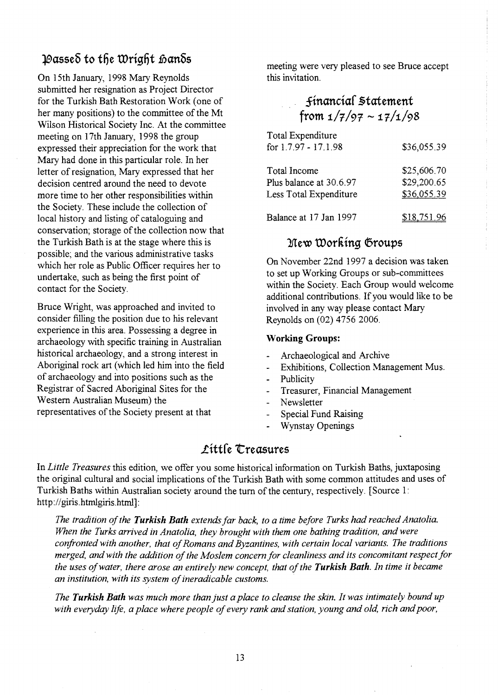# Passed to the Wright hands

On 15th January, 1998 Mary Reynolds submitted her resignation as Project Director for the Turkish Bath Restoration Work (one of her many positions) to the committee of the Mt Wilson Historical Society Inc. At the committee meeting on 17th January, 1998 the group expressed their appreciation for the work that Mary had done in this particular role. In her letter of resignation, Mary expressed that her decision centred around the need to devote more time to her other responsibilities within the Society. These include the collection of local history and listing of cataloguing and conservation; storage of the collection now that the Turkish Bath is at the stage where this is possible; and the various administrative tasks which her role as Public Officer requires her to undertake, such as being the first point of contact for the Society.

Bruce Wright, was approached and invited to consider filling the position due to his relevant experience in this area. Possessing a degree in archaeology with specific training in Australian historical archaeology, and a strong interest in Aboriginal rock art (which led him into the field of archaeology and into positions such as the Registrar of Sacred Aboriginal Sites for the Western Australian Museum) the representatives of the Society present at that

meeting were very pleased to see Bruce accept this invitation.

| financial Statement |                            |
|---------------------|----------------------------|
|                     | from $1/7/97 \sim 17/1/98$ |

| Total Expenditure<br>for 1.7.97 - 17.1.98                         | \$36,055.39                               |
|-------------------------------------------------------------------|-------------------------------------------|
| Total Income<br>Plus balance at 30.6.97<br>Less Total Expenditure | \$25,606.70<br>\$29,200.65<br>\$36,055.39 |
| Balance at 17 Jan 1997                                            | \$18,751.96                               |

## New Working Groups

On November 22nd 1997 a decision was taken to set up Working Groups or sub-committees within the Society. Each Group would welcome additional contributions. If you would like to be involved in any way please contact Mary Reynolds on (02) 4756 2006.

#### Working Groups:

- Archaeological and Archive
- Exhibitions, Collection Management Mus.
- Publicity
- Treasurer, Financial Management  $\overline{a}$
- Newsletter
- Special Fund Raising
- Wynstay Openings

# Little Treasures

In *Little Treasures* this edition, we offer you some historical information on Turkish Baths, juxtaposing the original cultural and social implications of the Turkish Bath with some common attitudes and uses of Turkish Baths within Australian society around the tum of the century, respectively. [Source 1: http://giris.htmlgiris.html]:

*The tradition of the Turkish Bath extends far back, to a time before Turks had reached Anatolia. When the Turks arrived in Anatolia, they brought with them one bathing tradition, and were confronted with another, that of Romans and Byzantines, with certain local variants. The traditions merged, and with the addition of the Moslem concern for cleanliness and its concomitant respect for the uses of water, there arose an entirely new concept, that of the Turkish Bath. In time it became an institution, with its system of ineradicable customs.* 

*The Turkish Bath was much more than just a place to. cleanse the skin. It was intimately bound up with everyday life, a place where people of every rank and station, young and old, rich and poor,*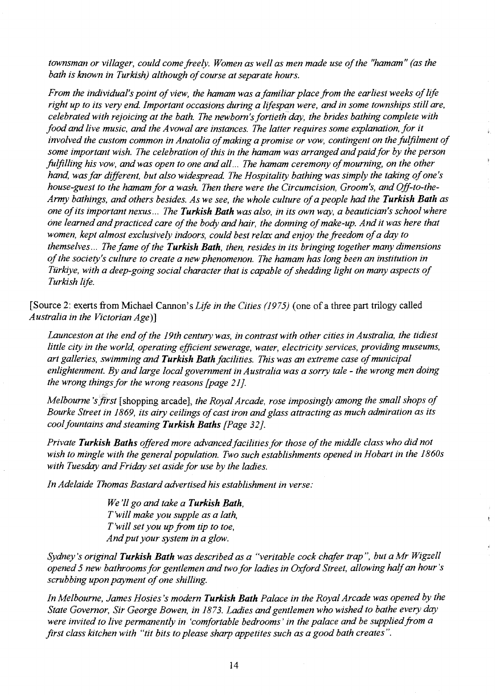*townsman or villager, could come freely. Women as well as men made use of the "hamam" (as the bath is known in Turkish) although of course at separate hours.* 

*From the individual's point of view, the hamam was a familiar place from the earliest weeks of life*  right up to its very end. Important occasions during a lifespan were, and in some townships still are, *celebrated with rejoicing at the bath. The newborn's fortieth 'day, the brides bathing complete with food and live music, and the A vowal are instances. The latter requires some explanation, for it involved the custom common in Anatolia of making a promise or vow, contingent on the fulfilment of some important wish. The celebration of this in the hamam was arranged and paid for by the person*  fulfilling his vow, and was open to one and all... The hamam ceremony of mourning, on the other *hand, was far different, but also widespread. The Hospitality bathing was simply the taking of one's house-guest to the hamam for a wash. Then there were the Circumcision, Groom's, and Off-to-the-Army bathings, and others besides. As we see, the whole culture of a people had the Turkish Bath as one of its important nexus* ... *The Turkish Bath was also, in its own way, a beautician's school where one learned and practiced care of the body and hair, the donning of make-up. And it was here that women, kept almost exclusively indoors, could best relax and enjoy the freedom of a day to themselves* ... *The fame of the Turkish Bath, then, resides in its bringing together many dimensions of the society's culture to create a new phenomenon. The hamam has long been an institution in Tiirkiye, with a deep-going social character that is capable of shedding light on many aspects of Turkish life.* 

[Source 2: exerts from Michael Cannon's *Life in the Cities* (1975) (one of a three part trilogy called *Australia in the Victorian Age)]* 

*Launceston at the end of the 19th century was, in contrast with other cities in Australia, the tidiest*  little city in the world, operating efficient sewerage, water, electricity services, providing museums, *art galleries, swimming and Turkish Bath facilities. This was an extreme case of municipal enlightenment. By and large local government in Australia was a sorry tale - the wrong men doing the wrong things for the wrong reasons [page 21].* 

*Melbourne's first* [shopping arcade], *the Royal Arcade, rose imposingly among the small shops of Bourke Street in* 1869, *its airy ceilings of cast iron and glass attracting as much admiration as its cool fountains and steaming Turkish Baths [Page* 32 *j.* 

*Private Turkish Baths offered more advanced facilities for those of the middle class who did not wish to mingle with the general population. Two such establishments opened in Hobart in the 1860s with Tuesday and Friday set aside for use by the ladies.* 

*In Adelaide Thomas Bastard advertised his establishment in verse:* 

*We'll go and take a Turkish Bath, Twill make you supple as a lath, Twill set you up from tip to toe, And put your system in a glow.* 

*Sydney's original Turkish Bath was described as a "veritable cock chafer trap* ", *but a Mr Wigzell opened* 5 *new bathrooms for gentlemen and two for ladies in Oxford Street, allowing half an hour's scrubbing upon payment of one shilling.* 

 $\overline{\mathbf{R}}$ 

*In Melbourne, James Hosies* 's *modern Turkish Bath Palace in the Royal Arcade was opened by the State Governor, Sir George Bowen, in* 1873. *Ladies and gentlemen who wished to bathe every day were invited to live permanently in 'comfortable bedrooms' in the palace and be supplied from a first class kitchen with "tit bits to please sharp appetites such as a good bath creates".*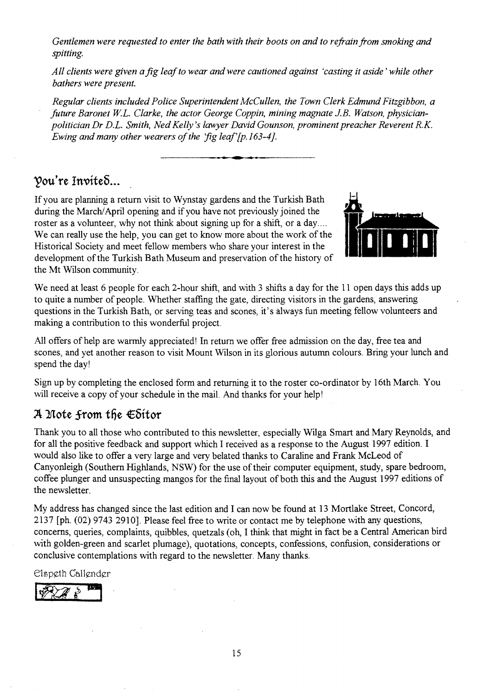*Gentlemen were requested to enter the bath with their boots on and to refrain from smoking and spitting.* 

*All clients were given a fig leaf to wear and were cautioned against 'casting it aside' while other bathers were present.* 

*Regular clients included Police Superintendent McCullen, the Town Clerk Edmund Fitzgibbon, a future Baronet w.L. Clarke, the actor George Coppin, mining magnate J.B. Watson, physicianpolitician Dr D.L. Smith, Ned Kelly's lawyer David Gounson, prominent preacher Reverent R.K. Ewing and many other wearers of the 'fig leaf'{p.163-4].* 

**.. -. ..** 

## Vou're Invited...

If you are planning a return visit to Wynstay gardens and the Turkish Bath during the March/April opening and if you have not previously joined the roster as a volunteer, why not think about signing up for a shift, or a day.... We can really use the help, you can get to know more about the work of the Historical Society and meet fellow members who share your interest in the development of the Turkish Bath Museum and preservation of the history of the Mt Wilson community.



We need at least 6 people for each 2-hour shift, and with 3 shifts a day for the 11 open days this adds up to quite a number of people. Whether staffing the gate, directing visitors in the gardens, answering questions in the Turkish Bath, or serving teas and scones, it's always fun meeting fellow volunteers and making a contribution to this wonderful project.

All offers of help are warmly appreciated! In return we offer free admission on the day, free tea and scones, and yet another reason to visit Mount Wilson in its glorious autumn colours. Bring your lunch and spend the day!

Sign up by completing the enclosed form and returning it to the roster co-ordinator by 16th March. You will receive a copy of your schedule in the mail. And thanks for your help!

## $A$  Mote from the  $\epsilon$ Sitor

Thank you to all those who contributed to this newsletter, especially Wilga Smart and Mary Reynolds, and for all the positive feedback and support which I received as a response to the August 1997 edition. I would also like to offer a very large and very belated thanks to Caraline and Frank McLeod of Canyonleigh (Southern Highlands, NSW) for the use of their computer equipment, study, spare bedroom, coffee plunger and unsuspecting mangos for the final layout of both this and the August 1997 editions of the newsletter.

My address has changed since the last edition and I can now be found at 13 Mortlake Street, Concord, 2137 [ph. (02) 97432910]. Please feel free to write or contact me by telephone with any questions, concerns, queries, complaints, quibbles, quetzals (oh, I think that might in fact be a Central American bird with golden-green and scarlet plumage), quotations, concepts, confessions, confusion, considerations or conclusive contemplations with regard to the newsletter. Many thanks.

Elspeth Callender